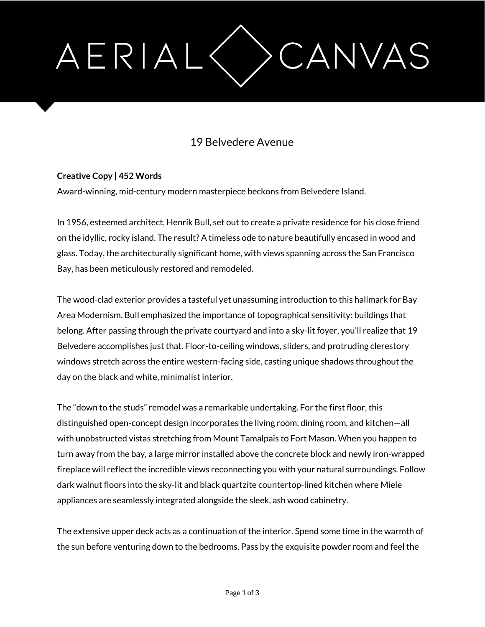# AERIAL CANVAS

## 19 Belvedere Avenue

### **Creative Copy | 452 Words**

Award-winning, mid-century modern masterpiece beckons from Belvedere Island.

In 1956, esteemed architect, Henrik Bull, set out to create a private residence for his close friend on the idyllic, rocky island. The result? A timeless ode to nature beautifully encased in wood and glass. Today, the architecturally significant home, with views spanning across the San Francisco Bay, has been meticulously restored and remodeled.

The wood-clad exterior provides a tasteful yet unassuming introduction to this hallmark for Bay Area Modernism. Bull emphasized the importance of topographical sensitivity: buildings that belong. After passing through the private courtyard and into a sky-lit foyer, you'll realize that 19 Belvedere accomplishes just that. Floor-to-ceiling windows, sliders, and protruding clerestory windows stretch across the entire western-facing side, casting unique shadows throughout the day on the black and white, minimalist interior.

The "down to the studs" remodel was a remarkable undertaking. For the first floor, this distinguished open-concept design incorporates the living room, dining room, and kitchen—all with unobstructed vistas stretching from Mount Tamalpais to Fort Mason. When you happen to turn away from the bay, a large mirror installed above the concrete block and newly iron-wrapped fireplace will reflect the incredible views reconnecting you with your natural surroundings. Follow dark walnut floors into the sky-lit and black quartzite countertop-lined kitchen where Miele appliances are seamlessly integrated alongside the sleek, ash wood cabinetry.

The extensive upper deck acts as a continuation of the interior. Spend some time in the warmth of the sun before venturing down to the bedrooms. Pass by the exquisite powder room and feel the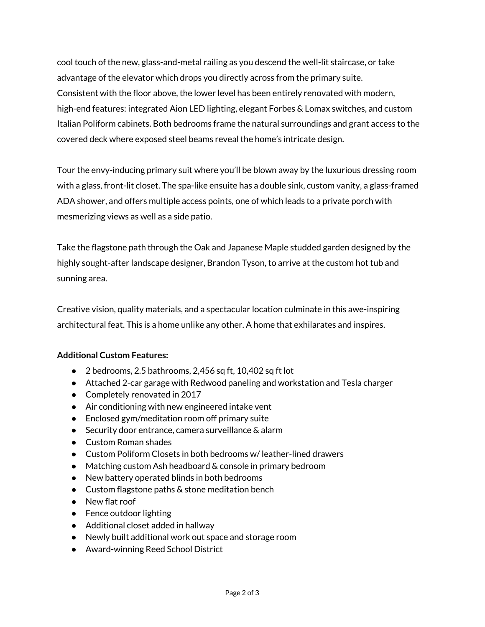cool touch of the new, glass-and-metal railing as you descend the well-lit staircase, or take advantage of the elevator which drops you directly across from the primary suite. Consistent with the floor above, the lower level has been entirely renovated with modern, high-end features: integrated Aion LED lighting, elegant Forbes & Lomax switches, and custom Italian Poliform cabinets. Both bedrooms frame the natural surroundings and grant access to the covered deck where exposed steel beams reveal the home's intricate design.

Tour the envy-inducing primary suit where you'll be blown away by the luxurious dressing room with a glass, front-lit closet. The spa-like ensuite has a double sink, custom vanity, a glass-framed ADA shower, and offers multiple access points, one of which leads to a private porch with mesmerizing views as well as a side patio.

Take the flagstone path through the Oak and Japanese Maple studded garden designed by the highly sought-after landscape designer, Brandon Tyson, to arrive at the custom hot tub and sunning area.

Creative vision, quality materials, and a spectacular location culminate in this awe-inspiring architectural feat. This is a home unlike any other. A home that exhilarates and inspires.

### **Additional Custom Features:**

- $\bullet$  2 bedrooms, 2.5 bathrooms, 2,456 sq ft, 10,402 sq ft lot
- Attached 2-car garage with Redwood paneling and workstation and Tesla charger
- Completely renovated in 2017
- Air conditioning with new engineered intake vent
- Enclosed gym/meditation room off primary suite
- Security door entrance, camera surveillance & alarm
- Custom Roman shades
- Custom Poliform Closets in both bedrooms w/leather-lined drawers
- Matching custom Ash headboard & console in primary bedroom
- New battery operated blinds in both bedrooms
- Custom flagstone paths & stone meditation bench
- New flat roof
- Fence outdoor lighting
- Additional closet added in hallway
- Newly built additional work out space and storage room
- Award-winning Reed School District